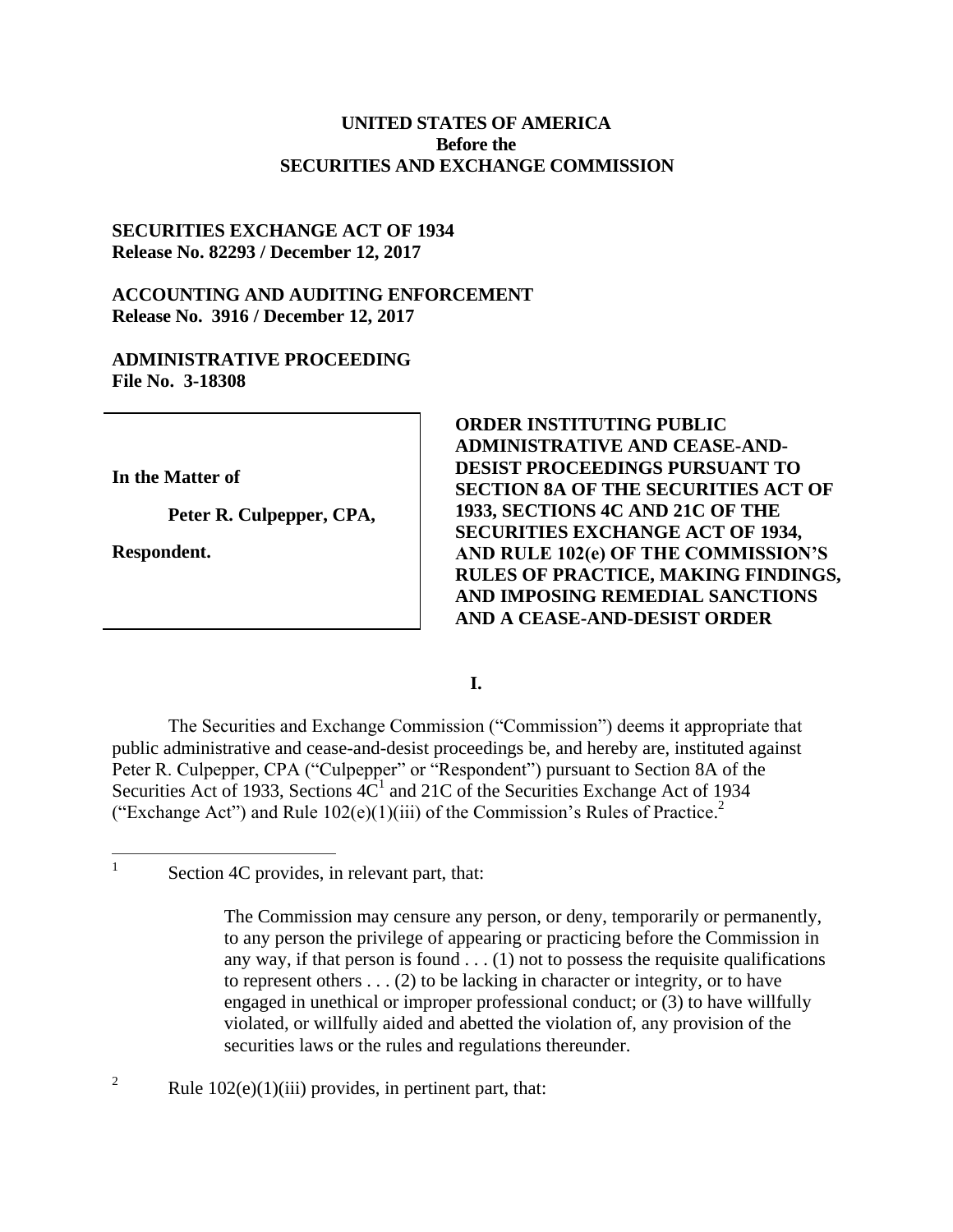### **UNITED STATES OF AMERICA Before the SECURITIES AND EXCHANGE COMMISSION**

## **SECURITIES EXCHANGE ACT OF 1934 Release No. 82293 / December 12, 2017**

# **ACCOUNTING AND AUDITING ENFORCEMENT Release No. 3916 / December 12, 2017**

## **ADMINISTRATIVE PROCEEDING File No. 3-18308**

**In the Matter of**

**Peter R. Culpepper, CPA,**

**Respondent.**

 $\frac{1}{1}$ 

**ORDER INSTITUTING PUBLIC ADMINISTRATIVE AND CEASE-AND-DESIST PROCEEDINGS PURSUANT TO SECTION 8A OF THE SECURITIES ACT OF 1933, SECTIONS 4C AND 21C OF THE SECURITIES EXCHANGE ACT OF 1934, AND RULE 102(e) OF THE COMMISSION'S RULES OF PRACTICE, MAKING FINDINGS, AND IMPOSING REMEDIAL SANCTIONS AND A CEASE-AND-DESIST ORDER** 

#### **I.**

The Securities and Exchange Commission ("Commission") deems it appropriate that public administrative and cease-and-desist proceedings be, and hereby are, instituted against Peter R. Culpepper, CPA ("Culpepper" or "Respondent") pursuant to Section 8A of the Securities Act of 1933, Sections  $4C<sup>1</sup>$  and 21C of the Securities Exchange Act of 1934 ("Exchange Act") and Rule  $102(e)(1)(iii)$  of the Commission's Rules of Practice.<sup>2</sup>

<sup>2</sup> Rule  $102(e)(1)(iii)$  provides, in pertinent part, that:

Section 4C provides, in relevant part, that:

The Commission may censure any person, or deny, temporarily or permanently, to any person the privilege of appearing or practicing before the Commission in any way, if that person is found  $\dots$  (1) not to possess the requisite qualifications to represent others  $\dots$  (2) to be lacking in character or integrity, or to have engaged in unethical or improper professional conduct; or (3) to have willfully violated, or willfully aided and abetted the violation of, any provision of the securities laws or the rules and regulations thereunder.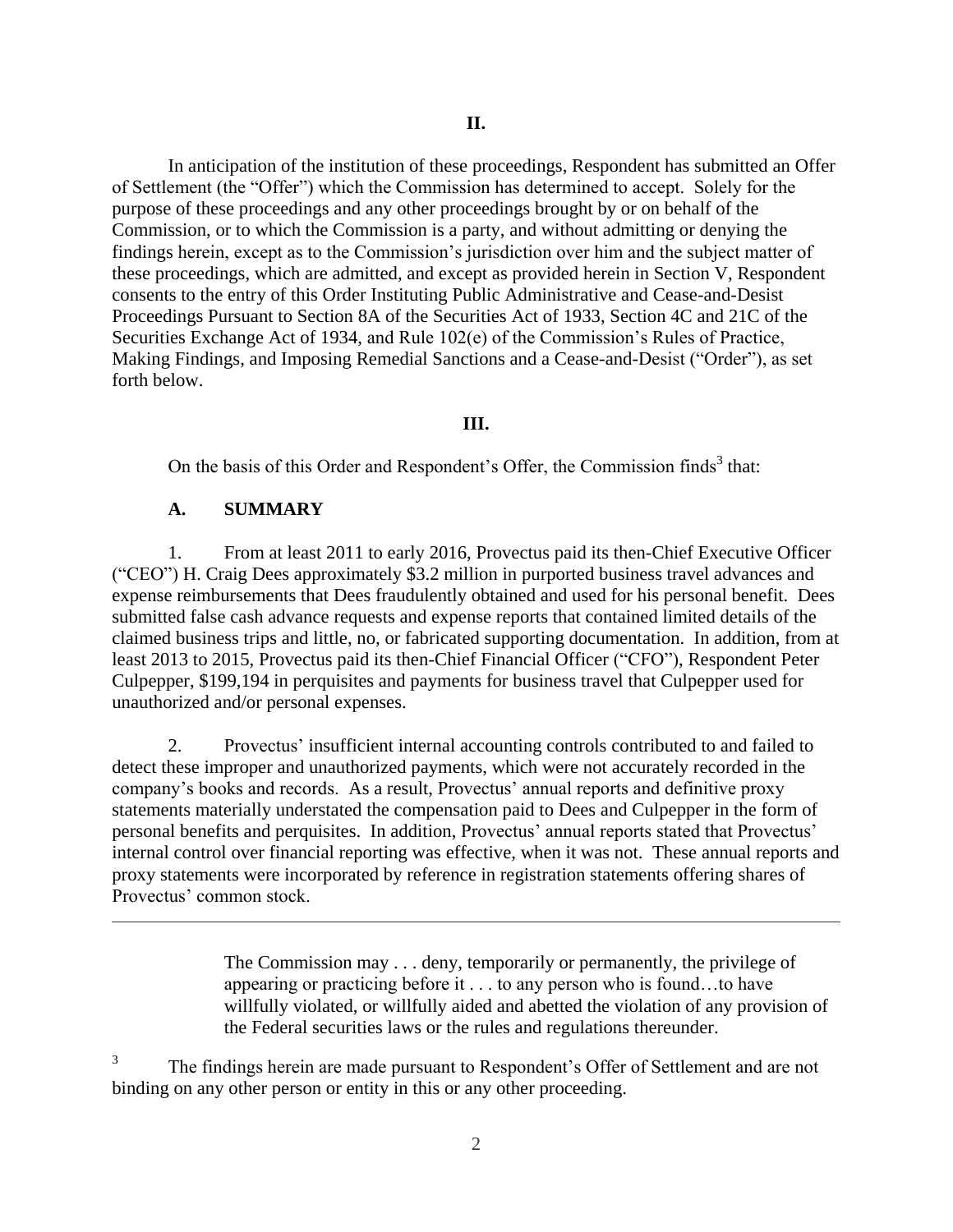In anticipation of the institution of these proceedings, Respondent has submitted an Offer of Settlement (the "Offer") which the Commission has determined to accept. Solely for the purpose of these proceedings and any other proceedings brought by or on behalf of the Commission, or to which the Commission is a party, and without admitting or denying the findings herein, except as to the Commission's jurisdiction over him and the subject matter of these proceedings, which are admitted, and except as provided herein in Section V, Respondent consents to the entry of this Order Instituting Public Administrative and Cease-and-Desist Proceedings Pursuant to Section 8A of the Securities Act of 1933, Section 4C and 21C of the Securities Exchange Act of 1934, and Rule 102(e) of the Commission's Rules of Practice, Making Findings, and Imposing Remedial Sanctions and a Cease-and-Desist ("Order"), as set forth below.

## **III.**

On the basis of this Order and Respondent's Offer, the Commission finds<sup>3</sup> that:

# **A. SUMMARY**

 $\overline{a}$ 

1. From at least 2011 to early 2016, Provectus paid its then-Chief Executive Officer ("CEO") H. Craig Dees approximately \$3.2 million in purported business travel advances and expense reimbursements that Dees fraudulently obtained and used for his personal benefit. Dees submitted false cash advance requests and expense reports that contained limited details of the claimed business trips and little, no, or fabricated supporting documentation. In addition, from at least 2013 to 2015, Provectus paid its then-Chief Financial Officer ("CFO"), Respondent Peter Culpepper, \$199,194 in perquisites and payments for business travel that Culpepper used for unauthorized and/or personal expenses.

2. Provectus' insufficient internal accounting controls contributed to and failed to detect these improper and unauthorized payments, which were not accurately recorded in the company's books and records. As a result, Provectus' annual reports and definitive proxy statements materially understated the compensation paid to Dees and Culpepper in the form of personal benefits and perquisites. In addition, Provectus' annual reports stated that Provectus' internal control over financial reporting was effective, when it was not. These annual reports and proxy statements were incorporated by reference in registration statements offering shares of Provectus' common stock.

> The Commission may . . . deny, temporarily or permanently, the privilege of appearing or practicing before it . . . to any person who is found…to have willfully violated, or willfully aided and abetted the violation of any provision of the Federal securities laws or the rules and regulations thereunder.

3 The findings herein are made pursuant to Respondent's Offer of Settlement and are not binding on any other person or entity in this or any other proceeding.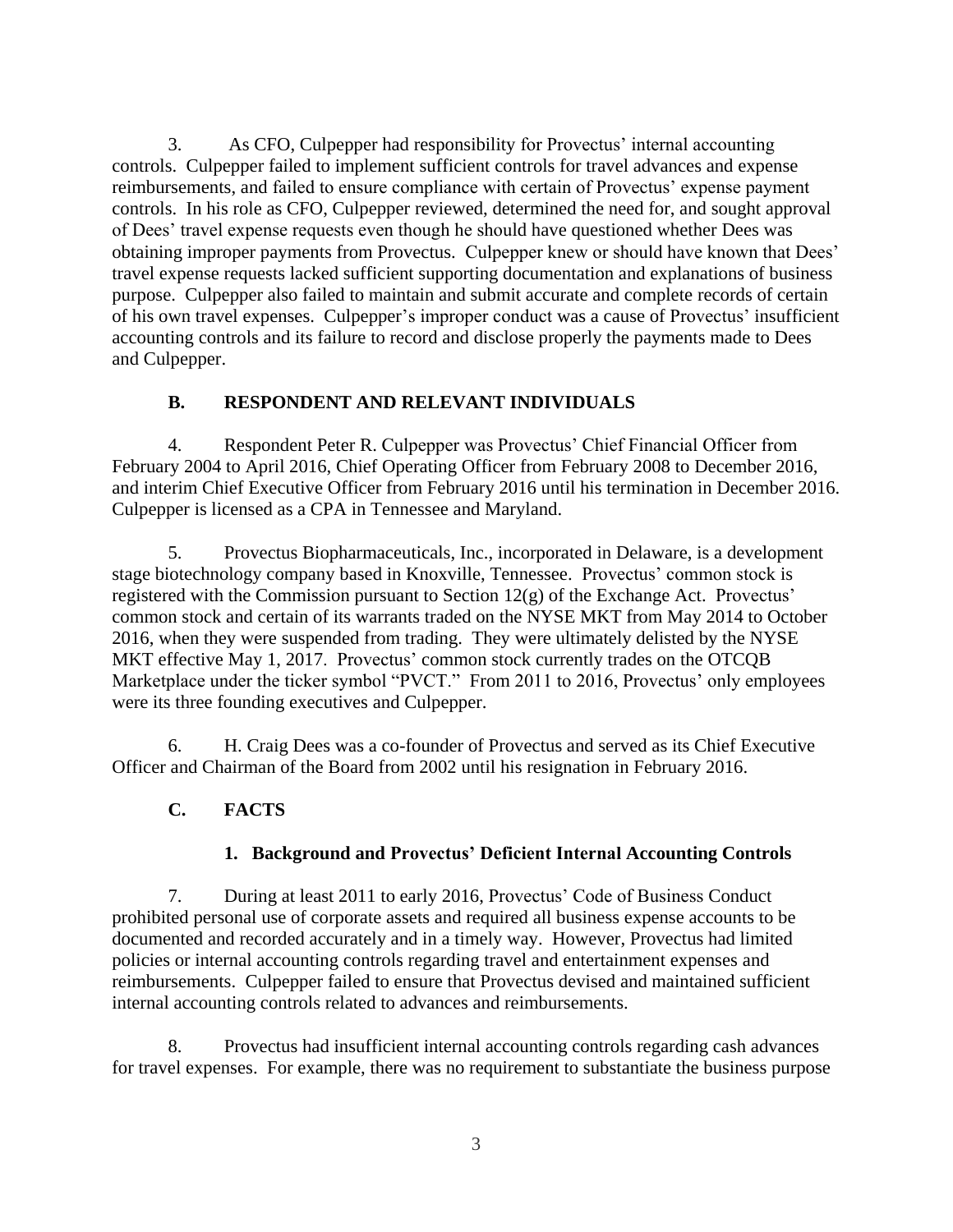3. As CFO, Culpepper had responsibility for Provectus' internal accounting controls. Culpepper failed to implement sufficient controls for travel advances and expense reimbursements, and failed to ensure compliance with certain of Provectus' expense payment controls. In his role as CFO, Culpepper reviewed, determined the need for, and sought approval of Dees' travel expense requests even though he should have questioned whether Dees was obtaining improper payments from Provectus. Culpepper knew or should have known that Dees' travel expense requests lacked sufficient supporting documentation and explanations of business purpose. Culpepper also failed to maintain and submit accurate and complete records of certain of his own travel expenses. Culpepper's improper conduct was a cause of Provectus' insufficient accounting controls and its failure to record and disclose properly the payments made to Dees and Culpepper.

# **B. RESPONDENT AND RELEVANT INDIVIDUALS**

4. Respondent Peter R. Culpepper was Provectus' Chief Financial Officer from February 2004 to April 2016, Chief Operating Officer from February 2008 to December 2016, and interim Chief Executive Officer from February 2016 until his termination in December 2016. Culpepper is licensed as a CPA in Tennessee and Maryland.

5. Provectus Biopharmaceuticals, Inc., incorporated in Delaware, is a development stage biotechnology company based in Knoxville, Tennessee. Provectus' common stock is registered with the Commission pursuant to Section 12(g) of the Exchange Act. Provectus' common stock and certain of its warrants traded on the NYSE MKT from May 2014 to October 2016, when they were suspended from trading. They were ultimately delisted by the NYSE MKT effective May 1, 2017. Provectus' common stock currently trades on the OTCOB Marketplace under the ticker symbol "PVCT." From 2011 to 2016, Provectus' only employees were its three founding executives and Culpepper.

6. H. Craig Dees was a co-founder of Provectus and served as its Chief Executive Officer and Chairman of the Board from 2002 until his resignation in February 2016.

# **C. FACTS**

# **1. Background and Provectus' Deficient Internal Accounting Controls**

7. During at least 2011 to early 2016, Provectus' Code of Business Conduct prohibited personal use of corporate assets and required all business expense accounts to be documented and recorded accurately and in a timely way. However, Provectus had limited policies or internal accounting controls regarding travel and entertainment expenses and reimbursements. Culpepper failed to ensure that Provectus devised and maintained sufficient internal accounting controls related to advances and reimbursements.

8. Provectus had insufficient internal accounting controls regarding cash advances for travel expenses. For example, there was no requirement to substantiate the business purpose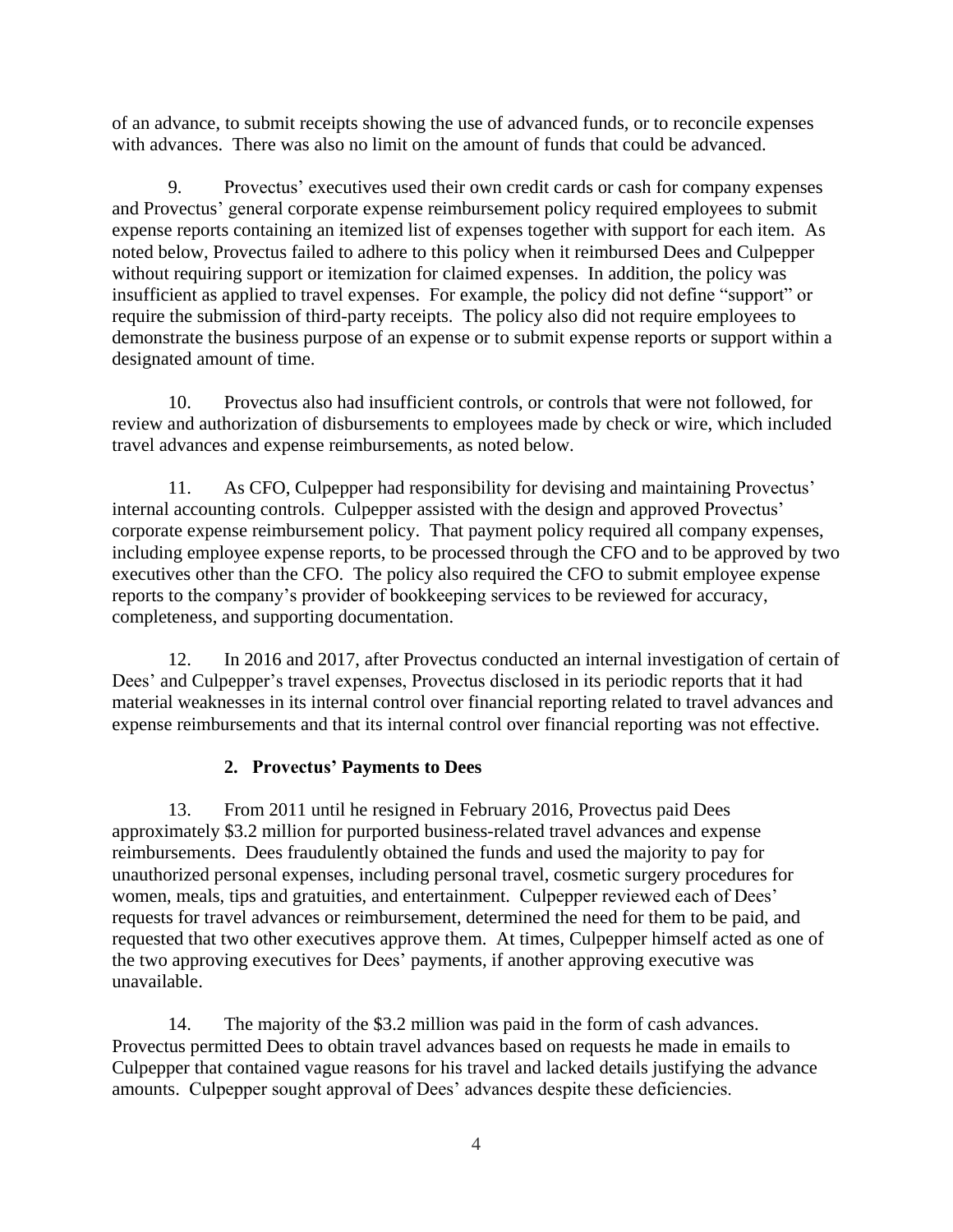of an advance, to submit receipts showing the use of advanced funds, or to reconcile expenses with advances. There was also no limit on the amount of funds that could be advanced.

9. Provectus' executives used their own credit cards or cash for company expenses and Provectus' general corporate expense reimbursement policy required employees to submit expense reports containing an itemized list of expenses together with support for each item. As noted below, Provectus failed to adhere to this policy when it reimbursed Dees and Culpepper without requiring support or itemization for claimed expenses. In addition, the policy was insufficient as applied to travel expenses. For example, the policy did not define "support" or require the submission of third-party receipts. The policy also did not require employees to demonstrate the business purpose of an expense or to submit expense reports or support within a designated amount of time.

10. Provectus also had insufficient controls, or controls that were not followed, for review and authorization of disbursements to employees made by check or wire, which included travel advances and expense reimbursements, as noted below.

11. As CFO, Culpepper had responsibility for devising and maintaining Provectus' internal accounting controls. Culpepper assisted with the design and approved Provectus' corporate expense reimbursement policy. That payment policy required all company expenses, including employee expense reports, to be processed through the CFO and to be approved by two executives other than the CFO. The policy also required the CFO to submit employee expense reports to the company's provider of bookkeeping services to be reviewed for accuracy, completeness, and supporting documentation.

12. In 2016 and 2017, after Provectus conducted an internal investigation of certain of Dees' and Culpepper's travel expenses, Provectus disclosed in its periodic reports that it had material weaknesses in its internal control over financial reporting related to travel advances and expense reimbursements and that its internal control over financial reporting was not effective.

# **2. Provectus' Payments to Dees**

13. From 2011 until he resigned in February 2016, Provectus paid Dees approximately \$3.2 million for purported business-related travel advances and expense reimbursements. Dees fraudulently obtained the funds and used the majority to pay for unauthorized personal expenses, including personal travel, cosmetic surgery procedures for women, meals, tips and gratuities, and entertainment. Culpepper reviewed each of Dees' requests for travel advances or reimbursement, determined the need for them to be paid, and requested that two other executives approve them. At times, Culpepper himself acted as one of the two approving executives for Dees' payments, if another approving executive was unavailable.

14. The majority of the \$3.2 million was paid in the form of cash advances. Provectus permitted Dees to obtain travel advances based on requests he made in emails to Culpepper that contained vague reasons for his travel and lacked details justifying the advance amounts. Culpepper sought approval of Dees' advances despite these deficiencies.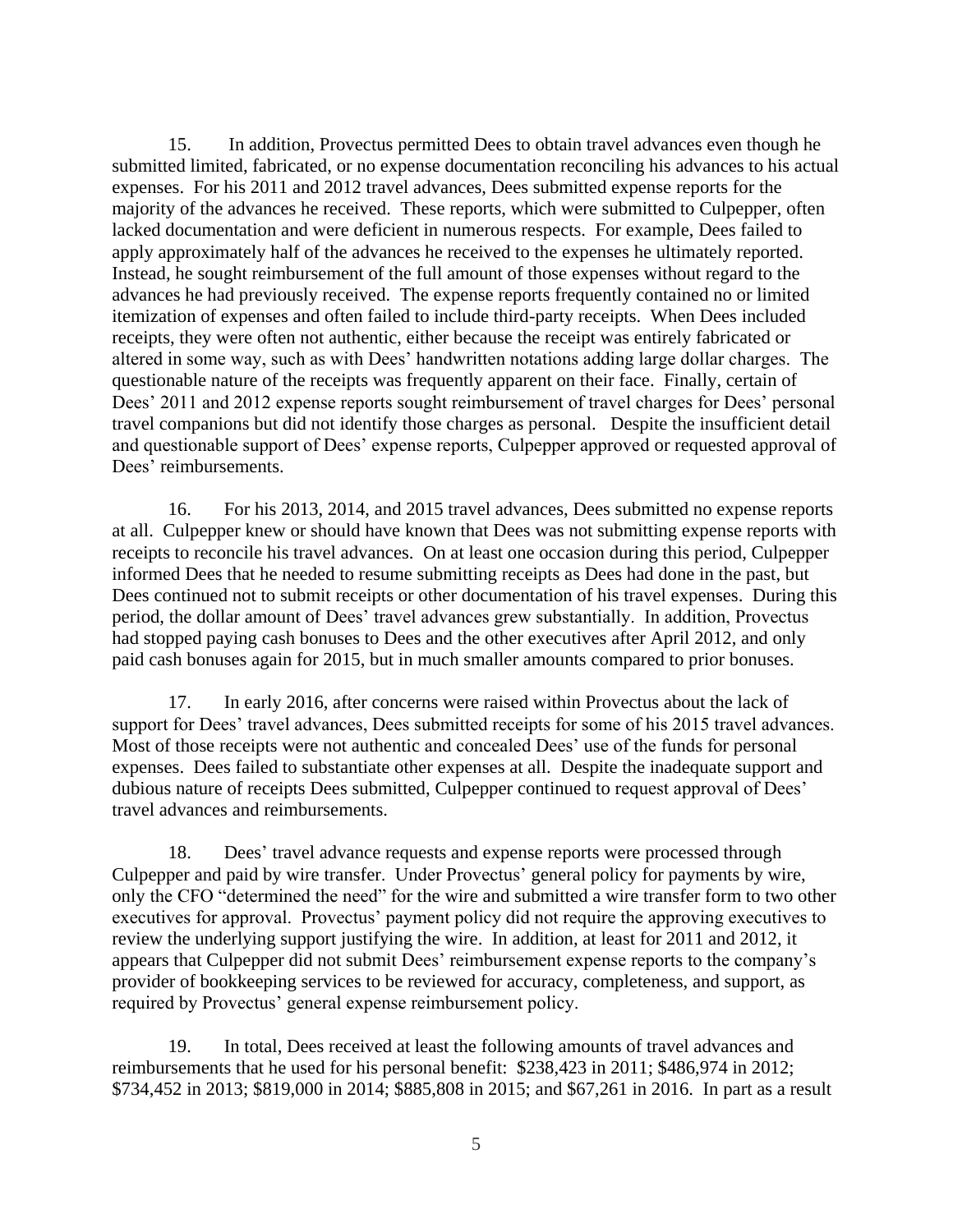15. In addition, Provectus permitted Dees to obtain travel advances even though he submitted limited, fabricated, or no expense documentation reconciling his advances to his actual expenses. For his 2011 and 2012 travel advances, Dees submitted expense reports for the majority of the advances he received. These reports, which were submitted to Culpepper, often lacked documentation and were deficient in numerous respects. For example, Dees failed to apply approximately half of the advances he received to the expenses he ultimately reported. Instead, he sought reimbursement of the full amount of those expenses without regard to the advances he had previously received. The expense reports frequently contained no or limited itemization of expenses and often failed to include third-party receipts. When Dees included receipts, they were often not authentic, either because the receipt was entirely fabricated or altered in some way, such as with Dees' handwritten notations adding large dollar charges. The questionable nature of the receipts was frequently apparent on their face. Finally, certain of Dees' 2011 and 2012 expense reports sought reimbursement of travel charges for Dees' personal travel companions but did not identify those charges as personal. Despite the insufficient detail and questionable support of Dees' expense reports, Culpepper approved or requested approval of Dees' reimbursements.

16. For his 2013, 2014, and 2015 travel advances, Dees submitted no expense reports at all. Culpepper knew or should have known that Dees was not submitting expense reports with receipts to reconcile his travel advances. On at least one occasion during this period, Culpepper informed Dees that he needed to resume submitting receipts as Dees had done in the past, but Dees continued not to submit receipts or other documentation of his travel expenses. During this period, the dollar amount of Dees' travel advances grew substantially. In addition, Provectus had stopped paying cash bonuses to Dees and the other executives after April 2012, and only paid cash bonuses again for 2015, but in much smaller amounts compared to prior bonuses.

17. In early 2016, after concerns were raised within Provectus about the lack of support for Dees' travel advances, Dees submitted receipts for some of his 2015 travel advances. Most of those receipts were not authentic and concealed Dees' use of the funds for personal expenses. Dees failed to substantiate other expenses at all. Despite the inadequate support and dubious nature of receipts Dees submitted, Culpepper continued to request approval of Dees' travel advances and reimbursements.

18. Dees' travel advance requests and expense reports were processed through Culpepper and paid by wire transfer. Under Provectus' general policy for payments by wire, only the CFO "determined the need" for the wire and submitted a wire transfer form to two other executives for approval. Provectus' payment policy did not require the approving executives to review the underlying support justifying the wire. In addition, at least for 2011 and 2012, it appears that Culpepper did not submit Dees' reimbursement expense reports to the company's provider of bookkeeping services to be reviewed for accuracy, completeness, and support, as required by Provectus' general expense reimbursement policy.

19. In total, Dees received at least the following amounts of travel advances and reimbursements that he used for his personal benefit: \$238,423 in 2011; \$486,974 in 2012; \$734,452 in 2013; \$819,000 in 2014; \$885,808 in 2015; and \$67,261 in 2016. In part as a result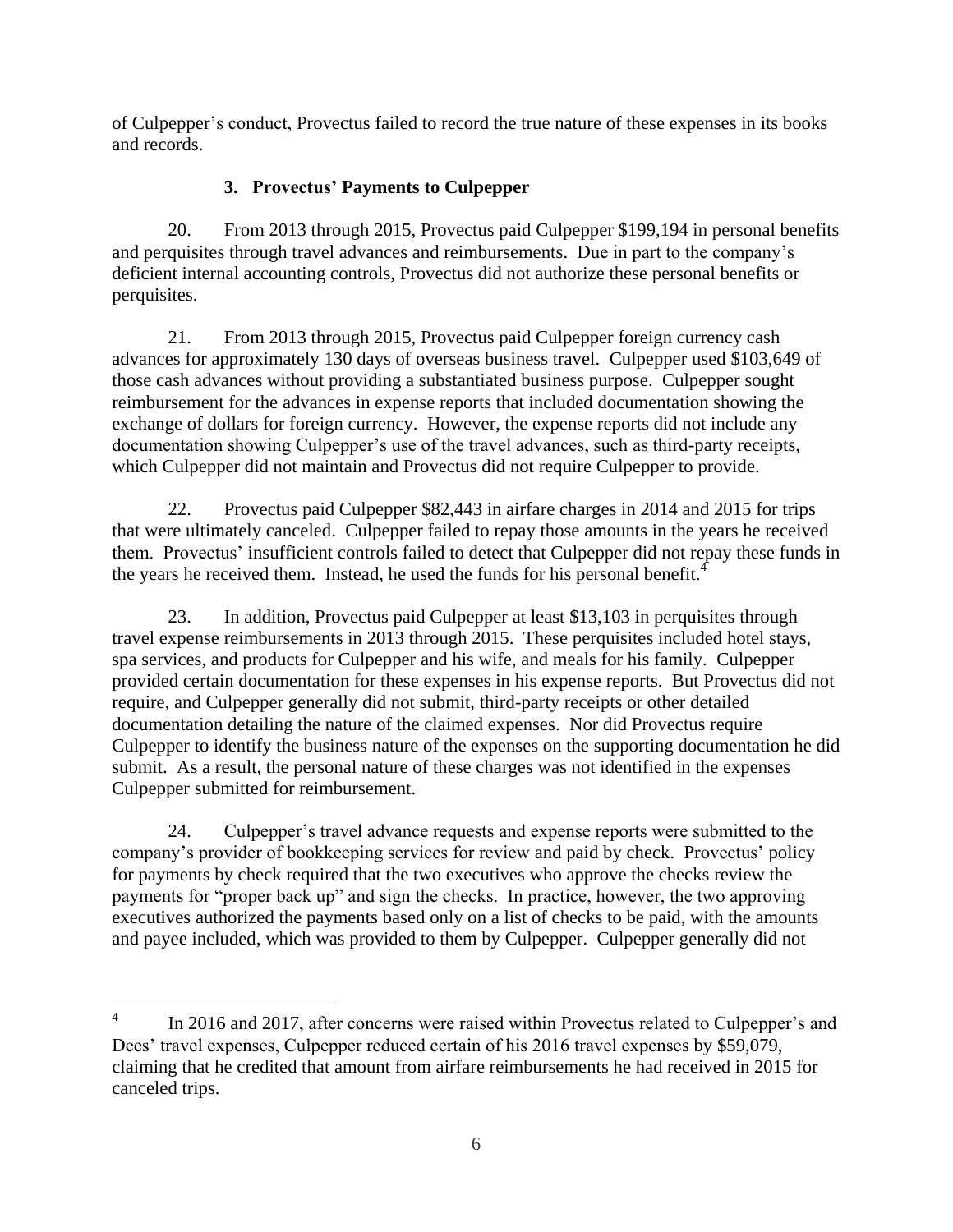of Culpepper's conduct, Provectus failed to record the true nature of these expenses in its books and records.

# **3. Provectus' Payments to Culpepper**

20. From 2013 through 2015, Provectus paid Culpepper \$199,194 in personal benefits and perquisites through travel advances and reimbursements. Due in part to the company's deficient internal accounting controls, Provectus did not authorize these personal benefits or perquisites.

21. From 2013 through 2015, Provectus paid Culpepper foreign currency cash advances for approximately 130 days of overseas business travel. Culpepper used \$103,649 of those cash advances without providing a substantiated business purpose. Culpepper sought reimbursement for the advances in expense reports that included documentation showing the exchange of dollars for foreign currency. However, the expense reports did not include any documentation showing Culpepper's use of the travel advances, such as third-party receipts, which Culpepper did not maintain and Provectus did not require Culpepper to provide.

22. Provectus paid Culpepper \$82,443 in airfare charges in 2014 and 2015 for trips that were ultimately canceled. Culpepper failed to repay those amounts in the years he received them. Provectus' insufficient controls failed to detect that Culpepper did not repay these funds in the years he received them. Instead, he used the funds for his personal benefit.<sup>4</sup>

23. In addition, Provectus paid Culpepper at least \$13,103 in perquisites through travel expense reimbursements in 2013 through 2015. These perquisites included hotel stays, spa services, and products for Culpepper and his wife, and meals for his family. Culpepper provided certain documentation for these expenses in his expense reports. But Provectus did not require, and Culpepper generally did not submit, third-party receipts or other detailed documentation detailing the nature of the claimed expenses. Nor did Provectus require Culpepper to identify the business nature of the expenses on the supporting documentation he did submit. As a result, the personal nature of these charges was not identified in the expenses Culpepper submitted for reimbursement.

24. Culpepper's travel advance requests and expense reports were submitted to the company's provider of bookkeeping services for review and paid by check. Provectus' policy for payments by check required that the two executives who approve the checks review the payments for "proper back up" and sign the checks. In practice, however, the two approving executives authorized the payments based only on a list of checks to be paid, with the amounts and payee included, which was provided to them by Culpepper. Culpepper generally did not

 $\frac{1}{4}$ In 2016 and 2017, after concerns were raised within Provectus related to Culpepper's and Dees' travel expenses, Culpepper reduced certain of his 2016 travel expenses by \$59,079, claiming that he credited that amount from airfare reimbursements he had received in 2015 for canceled trips.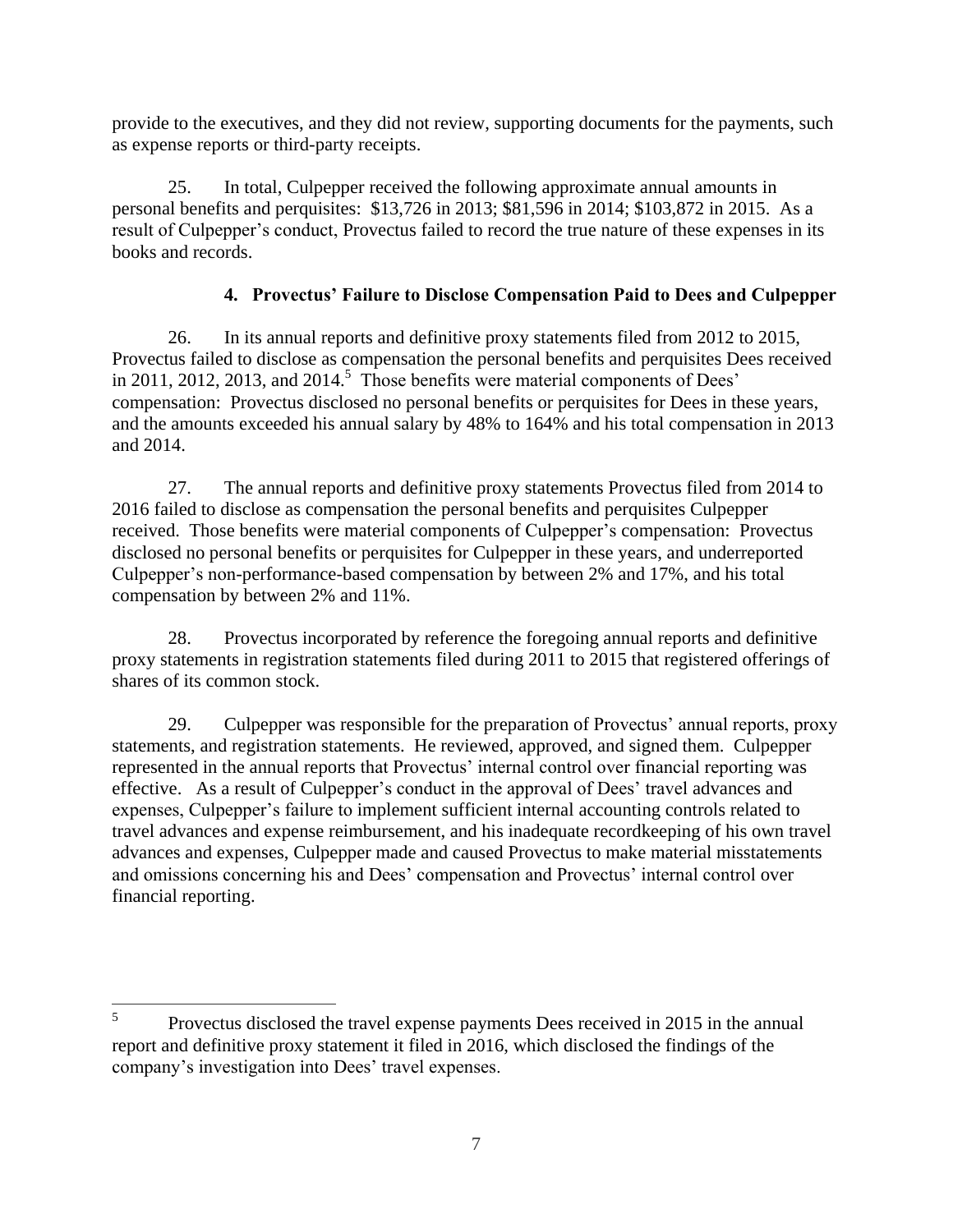provide to the executives, and they did not review, supporting documents for the payments, such as expense reports or third-party receipts.

25. In total, Culpepper received the following approximate annual amounts in personal benefits and perquisites: \$13,726 in 2013; \$81,596 in 2014; \$103,872 in 2015. As a result of Culpepper's conduct, Provectus failed to record the true nature of these expenses in its books and records.

# **4. Provectus' Failure to Disclose Compensation Paid to Dees and Culpepper**

26. In its annual reports and definitive proxy statements filed from 2012 to 2015, Provectus failed to disclose as compensation the personal benefits and perquisites Dees received in 2011, 2012, 2013, and  $2014$ <sup>5</sup> Those benefits were material components of Dees' compensation: Provectus disclosed no personal benefits or perquisites for Dees in these years, and the amounts exceeded his annual salary by 48% to 164% and his total compensation in 2013 and 2014.

27. The annual reports and definitive proxy statements Provectus filed from 2014 to 2016 failed to disclose as compensation the personal benefits and perquisites Culpepper received. Those benefits were material components of Culpepper's compensation: Provectus disclosed no personal benefits or perquisites for Culpepper in these years, and underreported Culpepper's non-performance-based compensation by between 2% and 17%, and his total compensation by between 2% and 11%.

28. Provectus incorporated by reference the foregoing annual reports and definitive proxy statements in registration statements filed during 2011 to 2015 that registered offerings of shares of its common stock.

29. Culpepper was responsible for the preparation of Provectus' annual reports, proxy statements, and registration statements. He reviewed, approved, and signed them. Culpepper represented in the annual reports that Provectus' internal control over financial reporting was effective. As a result of Culpepper's conduct in the approval of Dees' travel advances and expenses, Culpepper's failure to implement sufficient internal accounting controls related to travel advances and expense reimbursement, and his inadequate recordkeeping of his own travel advances and expenses, Culpepper made and caused Provectus to make material misstatements and omissions concerning his and Dees' compensation and Provectus' internal control over financial reporting.

 $\frac{1}{5}$ Provectus disclosed the travel expense payments Dees received in 2015 in the annual report and definitive proxy statement it filed in 2016, which disclosed the findings of the company's investigation into Dees' travel expenses.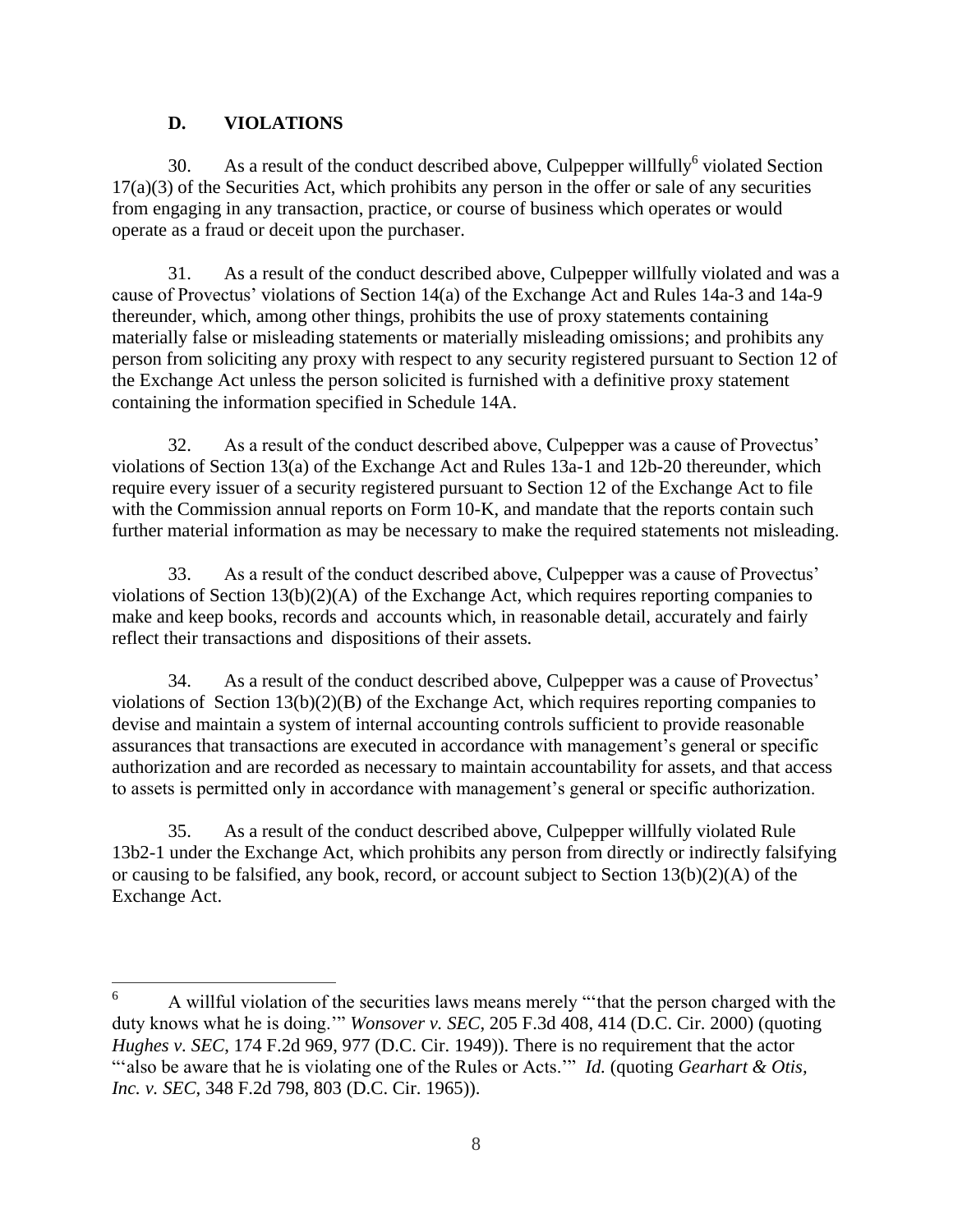# **D. VIOLATIONS**

30. As a result of the conduct described above, Culpepper will fully<sup>6</sup> violated Section 17(a)(3) of the Securities Act, which prohibits any person in the offer or sale of any securities from engaging in any transaction, practice, or course of business which operates or would operate as a fraud or deceit upon the purchaser.

31. As a result of the conduct described above, Culpepper willfully violated and was a cause of Provectus' violations of Section 14(a) of the Exchange Act and Rules 14a-3 and 14a-9 thereunder, which, among other things, prohibits the use of proxy statements containing materially false or misleading statements or materially misleading omissions; and prohibits any person from soliciting any proxy with respect to any security registered pursuant to Section 12 of the Exchange Act unless the person solicited is furnished with a definitive proxy statement containing the information specified in Schedule 14A.

32. As a result of the conduct described above, Culpepper was a cause of Provectus' violations of Section 13(a) of the Exchange Act and Rules 13a-1 and 12b-20 thereunder, which require every issuer of a security registered pursuant to Section 12 of the Exchange Act to file with the Commission annual reports on Form 10-K, and mandate that the reports contain such further material information as may be necessary to make the required statements not misleading.

33. As a result of the conduct described above, Culpepper was a cause of Provectus' violations of Section 13(b)(2)(A) of the Exchange Act, which requires reporting companies to make and keep books, records and accounts which, in reasonable detail, accurately and fairly reflect their transactions and dispositions of their assets.

34. As a result of the conduct described above, Culpepper was a cause of Provectus' violations of Section 13(b)(2)(B) of the Exchange Act, which requires reporting companies to devise and maintain a system of internal accounting controls sufficient to provide reasonable assurances that transactions are executed in accordance with management's general or specific authorization and are recorded as necessary to maintain accountability for assets, and that access to assets is permitted only in accordance with management's general or specific authorization.

35. As a result of the conduct described above, Culpepper willfully violated Rule 13b2-1 under the Exchange Act, which prohibits any person from directly or indirectly falsifying or causing to be falsified, any book, record, or account subject to Section 13(b)(2)(A) of the Exchange Act.

<sup>6</sup> <sup>6</sup> A willful violation of the securities laws means merely "'that the person charged with the duty knows what he is doing.'" *Wonsover v. SEC*, 205 F.3d 408, 414 (D.C. Cir. 2000) (quoting *Hughes v. SEC*, 174 F.2d 969, 977 (D.C. Cir. 1949)). There is no requirement that the actor "'also be aware that he is violating one of the Rules or Acts.'" *Id.* (quoting *Gearhart & Otis, Inc. v. SEC*, 348 F.2d 798, 803 (D.C. Cir. 1965)).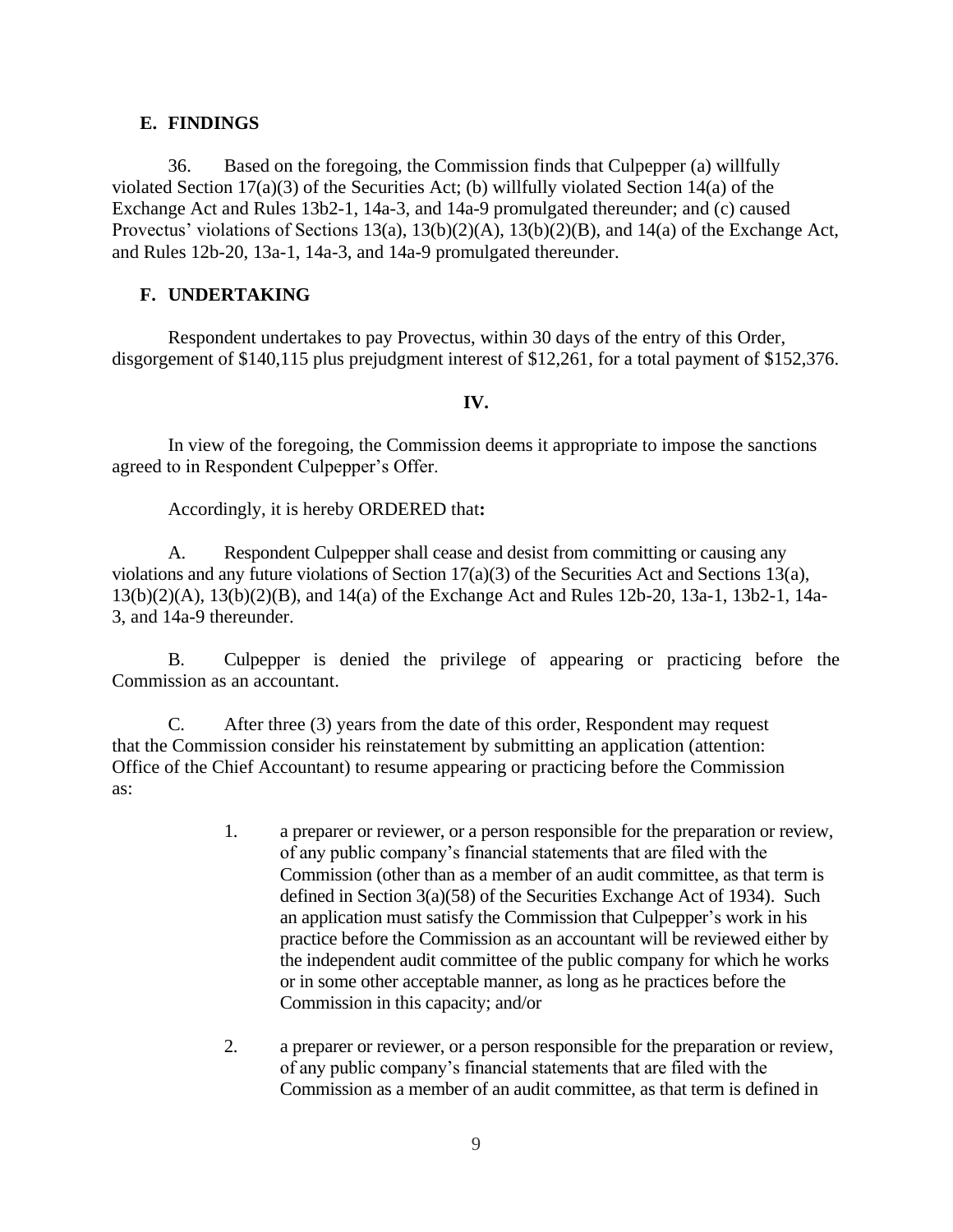#### **E. FINDINGS**

36. Based on the foregoing, the Commission finds that Culpepper (a) willfully violated Section 17(a)(3) of the Securities Act; (b) willfully violated Section 14(a) of the Exchange Act and Rules 13b2-1, 14a-3, and 14a-9 promulgated thereunder; and (c) caused Provectus' violations of Sections 13(a), 13(b)(2)(A), 13(b)(2)(B), and 14(a) of the Exchange Act, and Rules 12b-20, 13a-1, 14a-3, and 14a-9 promulgated thereunder.

## **F. UNDERTAKING**

Respondent undertakes to pay Provectus, within 30 days of the entry of this Order, disgorgement of \$140,115 plus prejudgment interest of \$12,261, for a total payment of \$152,376.

### **IV.**

In view of the foregoing, the Commission deems it appropriate to impose the sanctions agreed to in Respondent Culpepper's Offer.

Accordingly, it is hereby ORDERED that**:**

A. Respondent Culpepper shall cease and desist from committing or causing any violations and any future violations of Section 17(a)(3) of the Securities Act and Sections 13(a), 13(b)(2)(A), 13(b)(2)(B), and 14(a) of the Exchange Act and Rules 12b-20, 13a-1, 13b2-1, 14a-3, and 14a-9 thereunder.

B. Culpepper is denied the privilege of appearing or practicing before the Commission as an accountant.

C. After three (3) years from the date of this order, Respondent may request that the Commission consider his reinstatement by submitting an application (attention: Office of the Chief Accountant) to resume appearing or practicing before the Commission as:

- 1. a preparer or reviewer, or a person responsible for the preparation or review, of any public company's financial statements that are filed with the Commission (other than as a member of an audit committee, as that term is defined in Section 3(a)(58) of the Securities Exchange Act of 1934). Such an application must satisfy the Commission that Culpepper's work in his practice before the Commission as an accountant will be reviewed either by the independent audit committee of the public company for which he works or in some other acceptable manner, as long as he practices before the Commission in this capacity; and/or
- 2. a preparer or reviewer, or a person responsible for the preparation or review, of any public company's financial statements that are filed with the Commission as a member of an audit committee, as that term is defined in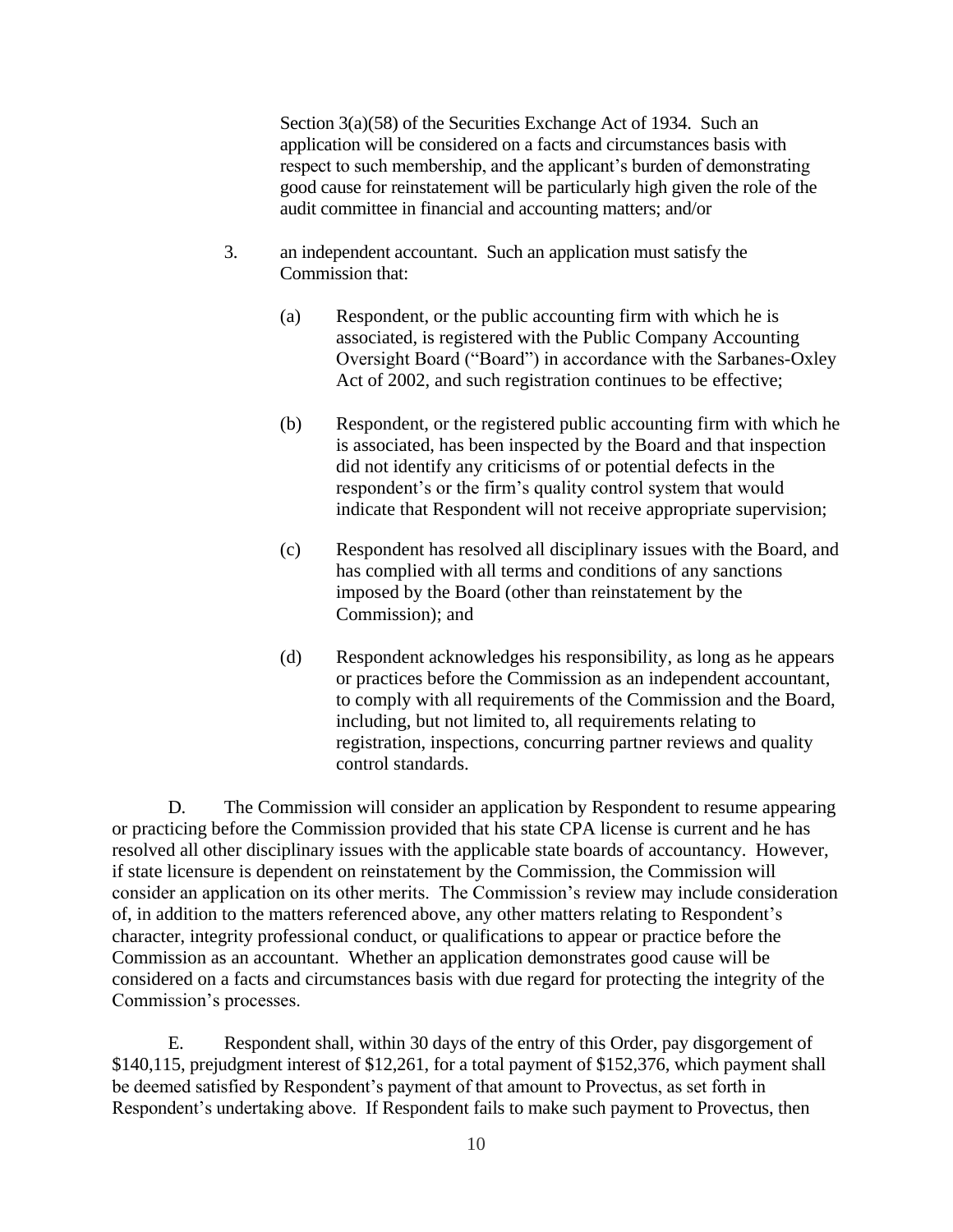Section 3(a)(58) of the Securities Exchange Act of 1934. Such an application will be considered on a facts and circumstances basis with respect to such membership, and the applicant's burden of demonstrating good cause for reinstatement will be particularly high given the role of the audit committee in financial and accounting matters; and/or

- 3. an independent accountant. Such an application must satisfy the Commission that:
	- (a) Respondent, or the public accounting firm with which he is associated, is registered with the Public Company Accounting Oversight Board ("Board") in accordance with the Sarbanes-Oxley Act of 2002, and such registration continues to be effective;
	- (b) Respondent, or the registered public accounting firm with which he is associated, has been inspected by the Board and that inspection did not identify any criticisms of or potential defects in the respondent's or the firm's quality control system that would indicate that Respondent will not receive appropriate supervision;
	- (c) Respondent has resolved all disciplinary issues with the Board, and has complied with all terms and conditions of any sanctions imposed by the Board (other than reinstatement by the Commission); and
	- (d) Respondent acknowledges his responsibility, as long as he appears or practices before the Commission as an independent accountant, to comply with all requirements of the Commission and the Board, including, but not limited to, all requirements relating to registration, inspections, concurring partner reviews and quality control standards.

D. The Commission will consider an application by Respondent to resume appearing or practicing before the Commission provided that his state CPA license is current and he has resolved all other disciplinary issues with the applicable state boards of accountancy. However, if state licensure is dependent on reinstatement by the Commission, the Commission will consider an application on its other merits. The Commission's review may include consideration of, in addition to the matters referenced above, any other matters relating to Respondent's character, integrity professional conduct, or qualifications to appear or practice before the Commission as an accountant. Whether an application demonstrates good cause will be considered on a facts and circumstances basis with due regard for protecting the integrity of the Commission's processes.

E. Respondent shall, within 30 days of the entry of this Order, pay disgorgement of \$140,115, prejudgment interest of \$12,261, for a total payment of \$152,376, which payment shall be deemed satisfied by Respondent's payment of that amount to Provectus, as set forth in Respondent's undertaking above. If Respondent fails to make such payment to Provectus, then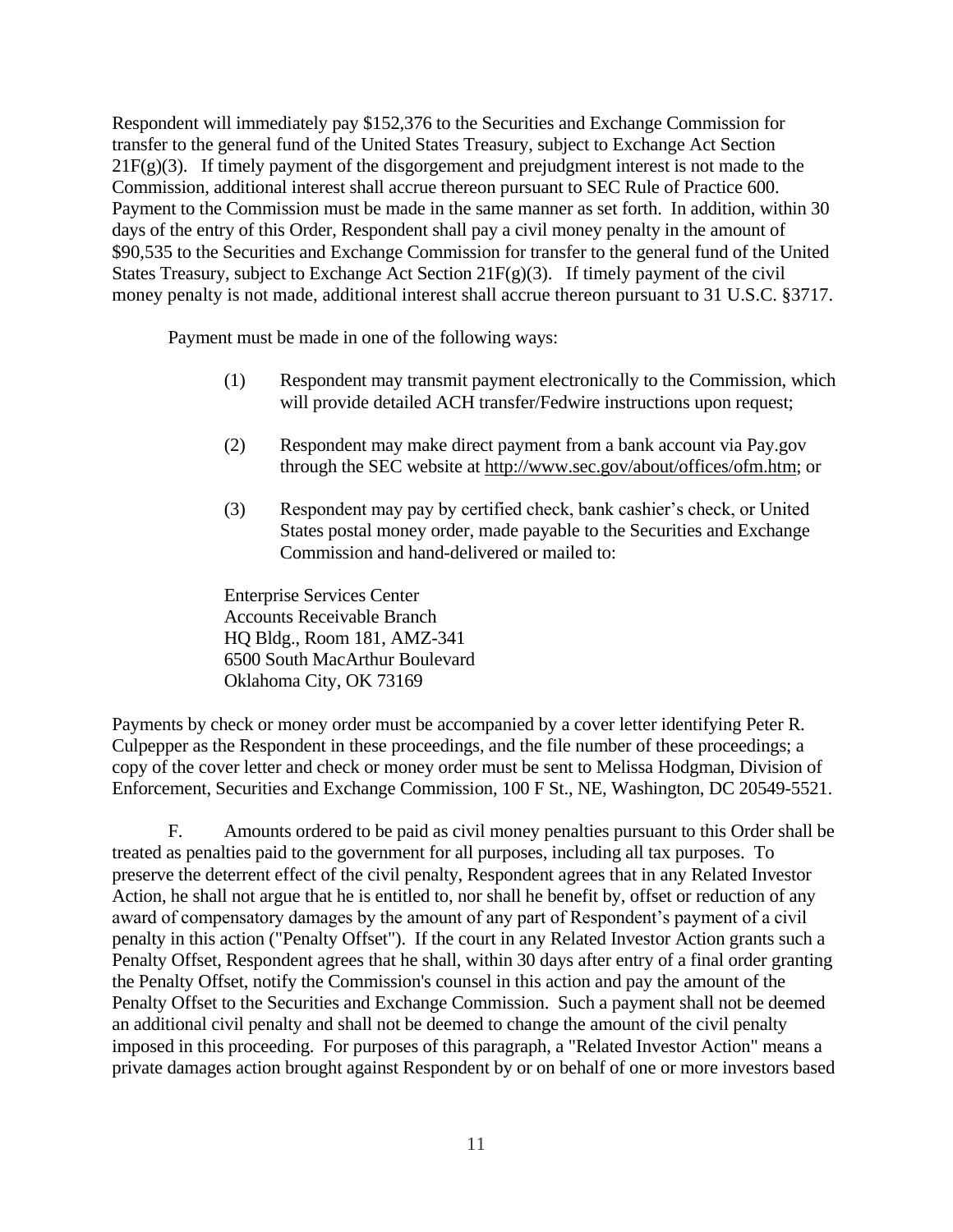Respondent will immediately pay \$152,376 to the Securities and Exchange Commission for transfer to the general fund of the United States Treasury, subject to Exchange Act Section  $21F(g)(3)$ . If timely payment of the disgorgement and prejudgment interest is not made to the Commission, additional interest shall accrue thereon pursuant to SEC Rule of Practice 600. Payment to the Commission must be made in the same manner as set forth. In addition, within 30 days of the entry of this Order, Respondent shall pay a civil money penalty in the amount of \$90,535 to the Securities and Exchange Commission for transfer to the general fund of the United States Treasury, subject to Exchange Act Section 21 $F(g)(3)$ . If timely payment of the civil money penalty is not made, additional interest shall accrue thereon pursuant to 31 U.S.C. §3717.

Payment must be made in one of the following ways:

- (1) Respondent may transmit payment electronically to the Commission, which will provide detailed ACH transfer/Fedwire instructions upon request;
- (2) Respondent may make direct payment from a bank account via Pay.gov through the SEC website at [http://www.sec.gov/about/offices/ofm.htm;](http://www.sec.gov/about/offices/ofm.htm) or
- (3) Respondent may pay by certified check, bank cashier's check, or United States postal money order, made payable to the Securities and Exchange Commission and hand-delivered or mailed to:

Enterprise Services Center Accounts Receivable Branch HQ Bldg., Room 181, AMZ-341 6500 South MacArthur Boulevard Oklahoma City, OK 73169

Payments by check or money order must be accompanied by a cover letter identifying Peter R. Culpepper as the Respondent in these proceedings, and the file number of these proceedings; a copy of the cover letter and check or money order must be sent to Melissa Hodgman, Division of Enforcement, Securities and Exchange Commission, 100 F St., NE, Washington, DC 20549-5521.

F. Amounts ordered to be paid as civil money penalties pursuant to this Order shall be treated as penalties paid to the government for all purposes, including all tax purposes. To preserve the deterrent effect of the civil penalty, Respondent agrees that in any Related Investor Action, he shall not argue that he is entitled to, nor shall he benefit by, offset or reduction of any award of compensatory damages by the amount of any part of Respondent's payment of a civil penalty in this action ("Penalty Offset"). If the court in any Related Investor Action grants such a Penalty Offset, Respondent agrees that he shall, within 30 days after entry of a final order granting the Penalty Offset, notify the Commission's counsel in this action and pay the amount of the Penalty Offset to the Securities and Exchange Commission. Such a payment shall not be deemed an additional civil penalty and shall not be deemed to change the amount of the civil penalty imposed in this proceeding. For purposes of this paragraph, a "Related Investor Action" means a private damages action brought against Respondent by or on behalf of one or more investors based